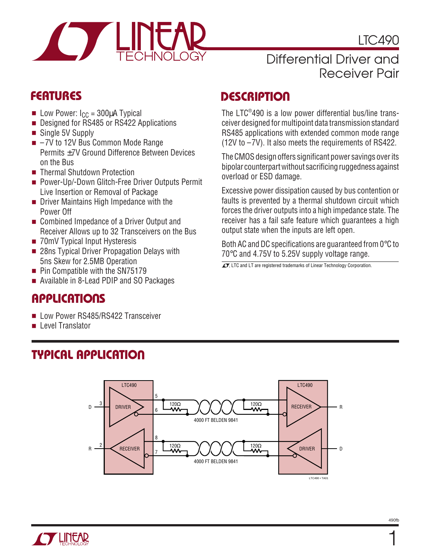

LTC490

## Differential Driver and Receiver Pair

- **■** Low Power:  $I_{CC}$  = 300 $\mu$ A Typical
- Designed for RS485 or RS422 Applications
- Single 5V Supply
- $-7V$  to 12V Bus Common Mode Range Permits ±7V Ground Difference Between Devices on the Bus
- Thermal Shutdown Protection
- Power-Up/-Down Glitch-Free Driver Outputs Permit Live Insertion or Removal of Package
- Driver Maintains High Impedance with the Power Off
- Combined Impedance of a Driver Output and Receiver Allows up to 32 Transceivers on the Bus
- 70mV Typical Input Hysteresis
- 28ns Typical Driver Propagation Delays with 5ns Skew for 2.5MB Operation
- Pin Compatible with the SN75179
- Available in 8-Lead PDIP and SO Packages

# **APPLICATIONS**

■ Low Power RS485/RS422 Transceiver

**TYPICAL APPLICATION** 

■ Level Translator

# **FEATURES DESCRIPTIO <sup>U</sup>**

The LTC® 490 is a low power differential bus/line transceiver designed for multipoint data transmission standard RS485 applications with extended common mode range (12V to –7V). It also meets the requirements of RS422.

The CMOS design offers significant power savings over its bipolar counterpart without sacrificing ruggedness against overload or ESD damage.

Excessive power dissipation caused by bus contention or faults is prevented by a thermal shutdown circuit which forces the driver outputs into a high impedance state. The receiver has a fail safe feature which guarantees a high output state when the inputs are left open.

Both AC and DC specifications are guaranteed from 0°C to 70°C and 4.75V to 5.25V supply voltage range.

 $\overline{\mathcal{L}\mathcal{I}}$ , LTC and LT are registered trademarks of Linear Technology Corporation.



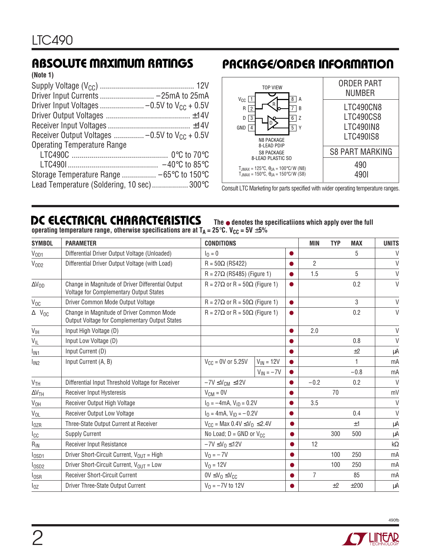# **ABSOLUTE MAXIMUM RATINGS**

**(Note 1)**

| Driver Input Currents  -25mA to 25mA               |  |
|----------------------------------------------------|--|
|                                                    |  |
|                                                    |  |
|                                                    |  |
| Receiver Output Voltages  -0.5V to $V_{CC}$ + 0.5V |  |
| <b>Operating Temperature Range</b>                 |  |
|                                                    |  |
|                                                    |  |
|                                                    |  |
| Lead Temperature (Soldering, 10 sec) 300°C         |  |

# **PACKAGE/ORDER INFORMATION**



Consult LTC Marketing for parts specified with wider operating temperature ranges.

# **DC ELECTRICAL CHARACTERISTICS**

**The** ● **denotes the specificatiions which apply over the full operating temperature range, otherwise specifications are at**  $T_A = 25^\circ C$ **. V<sub>CC</sub> = 5V**  $\pm 5\%$ 

| <b>SYMBOL</b>       | <b>PARAMETER</b>                                                                                    | <b>CONDITIONS</b>                                     |                | MIN    | <b>TYP</b>     | <b>MAX</b> | <b>UNITS</b> |        |
|---------------------|-----------------------------------------------------------------------------------------------------|-------------------------------------------------------|----------------|--------|----------------|------------|--------------|--------|
| V <sub>OD1</sub>    | Differential Driver Output Voltage (Unloaded)                                                       | $I_0 = 0$                                             |                |        |                |            | 5            | $\vee$ |
| V <sub>OD2</sub>    | Differential Driver Output Voltage (with Load)                                                      | $R = 50\Omega$ (RS422)                                |                |        | $\overline{2}$ |            |              | $\vee$ |
|                     | $R = 27\Omega$ (RS485) (Figure 1)                                                                   |                                                       |                |        | 1.5            |            | 5            | $\vee$ |
| $\Delta V_{OD}$     | Change in Magnitude of Driver Differential Output<br><b>Voltage for Complementary Output States</b> | $R = 27\Omega$ or $R = 50\Omega$ (Figure 1)           |                |        |                | 0.2        | $\vee$       |        |
| $V_{OC}$            | Driver Common Mode Output Voltage                                                                   | $R = 27\Omega$ or $R = 50\Omega$ (Figure 1)           |                |        |                | 3          | V            |        |
| $\Delta$   $V_{OC}$ | Change in Magnitude of Driver Common Mode<br>Output Voltage for Complementary Output States         | $R = 27\Omega$ or $R = 50\Omega$ (Figure 1)           |                |        |                | 0.2        | $\vee$       |        |
| $V_{\text{IH}}$     | Input High Voltage (D)                                                                              |                                                       |                |        | 2.0            |            |              | $\vee$ |
| $V_{IL}$            | Input Low Voltage (D)                                                                               |                                                       |                |        |                |            | 0.8          | V      |
| l <sub>IN1</sub>    | Input Current (D)                                                                                   |                                                       |                |        |                |            | ±2           | μA     |
| l <sub>IN2</sub>    | Input Current (A, B)                                                                                | $V_{CC} = 0V$ or 5.25V                                | $V_{IN} = 12V$ |        |                |            | 1            | mA     |
|                     |                                                                                                     |                                                       | $V_{IN} = -7V$ |        |                |            | $-0.8$       | mA     |
| V <sub>TH</sub>     | Differential Input Threshold Voltage for Receiver                                                   | $-7V \leq V_{CM} \leq 12V$                            |                | $-0.2$ |                | 0.2        | $\vee$       |        |
| $\Delta V_{TH}$     | Receiver Input Hysteresis                                                                           | $V_{CM} = 0V$                                         |                |        |                | 70         |              | mV     |
| $V_{OH}$            | Receiver Output High Voltage                                                                        | $I_0 = -4mA$ , $V_{1D} = 0.2V$                        |                |        | 3.5            |            |              | $\vee$ |
| $V_{OL}$            | Receiver Output Low Voltage                                                                         | $I_0 = 4 \text{mA}, V_{1D} = -0.2 V$                  |                |        |                | 0.4        | $\vee$       |        |
| $I_{OZR}$           | Three-State Output Current at Receiver                                                              | $V_{CC}$ = Max 0.4V $\leq$ V <sub>0</sub> $\leq$ 2.4V |                |        |                | ±1         | μA           |        |
| Icc                 | <b>Supply Current</b>                                                                               | No Load; $D = GND$ or $V_{CC}$                        |                |        | 300            | 500        | μA           |        |
| $R_{IN}$            | Receiver Input Resistance                                                                           | $-7V \leq V_0 \leq 12V$                               |                | 12     |                |            | $k\Omega$    |        |
| $log_{D1}$          | Driver Short-Circuit Current, V <sub>OUT</sub> = High                                               | $V_0 = -7V$                                           |                |        |                | 100        | 250          | mA     |
| I <sub>OSD2</sub>   | Driver Short-Circuit Current, $V_{OIII} =$ Low                                                      | $V_0 = 12V$                                           |                |        |                | 100        | 250          | mA     |
| $I_{OSR}$           | <b>Receiver Short-Circuit Current</b>                                                               | $0V \leq V_0 \leq V_{CC}$                             |                |        | $\overline{7}$ |            | 85           | mA     |
| $I_{OZ}$            | Driver Three-State Output Current                                                                   | $V_0 = -7V$ to 12V                                    |                |        |                | ±2         | ±200         | μA     |



490fb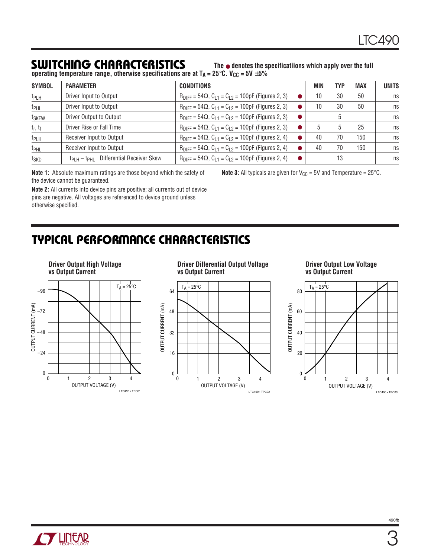# **SWITCHING CHARACTERISTICS**

**The** ● **denotes the specificatiions which apply over the full**

operating temperature range, otherwise specifications are at T<sub>A</sub> = 25°C. V<sub>CC</sub> = 5V  $\pm5\%$ 

| <b>SYMBOL</b>     | <b>PARAMETER</b>                                 | <b>CONDITIONS</b>                                                          | MIN | <b>TYP</b> | <b>MAX</b> | <b>UNITS</b> |
|-------------------|--------------------------------------------------|----------------------------------------------------------------------------|-----|------------|------------|--------------|
| t <sub>PLH</sub>  | Driver Input to Output                           | $R_{\text{DIFF}} = 54\Omega$ , $C_{1,1} = C_{1,2} = 100pF$ (Figures 2, 3)  | 10  | 30         | 50         | ns           |
| t <sub>PHL</sub>  | Driver Input to Output                           | $R_{\text{DIFF}} = 54\Omega$ , $C_{1,1} = C_{1,2} = 100$ pF (Figures 2, 3) | 10  | 30         | 50         | ns           |
| t <sub>SKEW</sub> | Driver Output to Output                          | $R_{\text{DIFF}} = 54\Omega$ , $C_{1,1} = C_{1,2} = 100pF$ (Figures 2, 3)  |     | 5          |            | ns           |
| $t_r$ , $t_f$     | Driver Rise or Fall Time                         | $R_{\text{DIFF}} = 54\Omega$ , $C_{1,1} = C_{1,2} = 100pF$ (Figures 2, 3)  | 5   | 5          | 25         | ns           |
| t <sub>PLH</sub>  | Receiver Input to Output                         | $R_{\text{DIFF}} = 54\Omega$ , $C_{1,1} = C_{1,2} = 100$ pF (Figures 2, 4) | 40  | 70         | 150        | ns           |
| t <sub>PHL</sub>  | Receiver Input to Output                         | $R_{\text{DIFF}} = 54\Omega$ , $C_{1,1} = C_{1,2} = 100$ pF (Figures 2, 4) | 40  | 70         | 150        | ns           |
| t <sub>SKD</sub>  | $ t_{PIH} - t_{PHI} $ Differential Receiver Skew | $R_{\text{DIFF}} = 54\Omega$ , $C_{1,1} = C_{1,2} = 100$ pF (Figures 2, 4) |     | 13         |            | ns           |

**Note 1:** Absolute maximum ratings are those beyond which the safety of the device cannot be guaranteed.

**Note 3:** All typicals are given for  $V_{CC} = 5V$  and Temperature =  $25^{\circ}$ C.

**Note 2:** All currents into device pins are positive; all currents out of device pins are negative. All voltages are referenced to device ground unless otherwise specified.

# **TYPICAL PERFORMANCE CHARACTERISTICS**



OUTPUT VOLTAGE (V)

123 4

LTC490 • TPC02

 $\theta$ 

0

16

32

48

64

 $T_A = 25^{\circ}C$ 

OUTPUT CURRENT (mA)

OUTPUT CURRENT (mA)



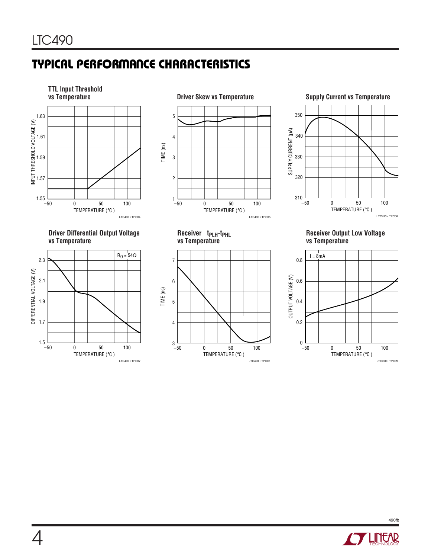# **TYPICAL PERFORMANCE CHARACTERISTICS**



**Driver Differential Output Voltage Receiver tPLH-tPHL Receiver Output Low Voltage**





**vs Temperature vs Temperature vs Temperature**

TEMPERATURE (°C )

0 50 100

LTC490 • TPC08

3 └─<br>−50

TIME (ns)

7

6

5





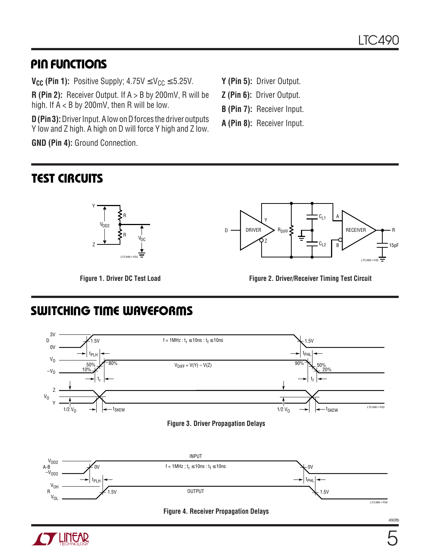# **PIN FUNCTIONS**

**V<sub>CC</sub>** (Pin 1): Positive Supply;  $4.75V \leq V_{CC} \leq 5.25V$ .

**R (Pin 2):** Receiver Output. If A > B by 200mV, R will be high. If  $A < B$  by 200mV, then R will be low.

**D (Pin 3):** Driver Input. A low on D forces the driver outputs Y low and Z high. A high on D will force Y high and Z low.

**GND (Pin 4):** Ground Connection.

- **Y (Pin 5):** Driver Output.
- **Z (Pin 6):** Driver Output.
- **B (Pin 7):** Receiver Input.
- **A (Pin 8):** Receiver Input.

# **TEST CIRCUITS**





Figure 1. Driver DC Test Load **Figure 2. Driver/Receiver Timing Test Circuit** 

# **SWITCHING TIME WAVEFORMS**





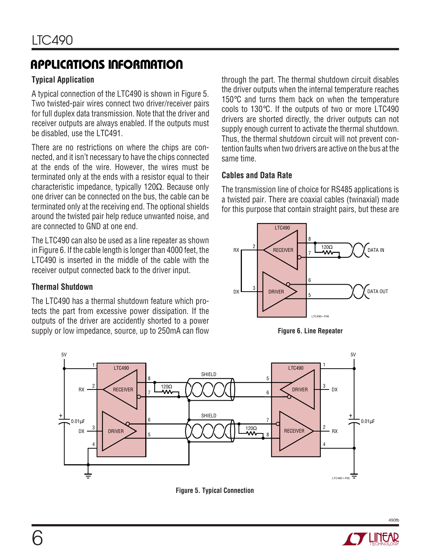# **APPLICATIONS INFORMATION**

## **Typical Application**

A typical connection of the LTC490 is shown in Figure 5. Two twisted-pair wires connect two driver/receiver pairs for full duplex data transmission. Note that the driver and receiver outputs are always enabled. If the outputs must be disabled, use the LTC491.

There are no restrictions on where the chips are connected, and it isn't necessary to have the chips connected at the ends of the wire. However, the wires must be terminated only at the ends with a resistor equal to their characteristic impedance, typically 120 $\Omega$ . Because only one driver can be connected on the bus, the cable can be terminated only at the receiving end. The optional shields around the twisted pair help reduce unwanted noise, and are connected to GND at one end.

The LTC490 can also be used as a line repeater as shown in Figure 6. If the cable length is longer than 4000 feet, the LTC490 is inserted in the middle of the cable with the receiver output connected back to the driver input.

#### **Thermal Shutdown**

The LTC490 has a thermal shutdown feature which protects the part from excessive power dissipation. If the outputs of the driver are accidently shorted to a power supply or low impedance, source, up to 250mA can flow through the part. The thermal shutdown circuit disables the driver outputs when the internal temperature reaches 150°C and turns them back on when the temperature cools to 130°C. If the outputs of two or more LTC490 drivers are shorted directly, the driver outputs can not supply enough current to activate the thermal shutdown. Thus, the thermal shutdown circuit will not prevent contention faults when two drivers are active on the bus at the same time.

#### **Cables and Data Rate**

The transmission line of choice for RS485 applications is a twisted pair. There are coaxial cables (twinaxial) made for this purpose that contain straight pairs, but these are







**Figure 5. Typical Connection**



490fb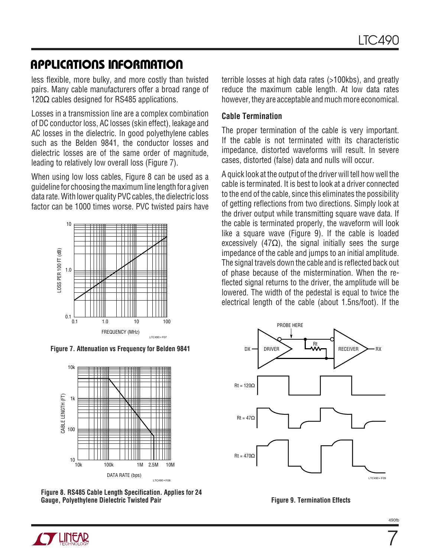# **APPLICATIONS INFORMATION**

less flexible, more bulky, and more costly than twisted pairs. Many cable manufacturers offer a broad range of 120 $\Omega$  cables designed for RS485 applications.

Losses in a transmission line are a complex combination of DC conductor loss, AC losses (skin effect), leakage and AC losses in the dielectric. In good polyethylene cables such as the Belden 9841, the conductor losses and dielectric losses are of the same order of magnitude, leading to relatively low overall loss (Figure 7).

When using low loss cables, Figure 8 can be used as a guideline for choosing the maximum line length for a given data rate. With lower quality PVC cables, the dielectric loss factor can be 1000 times worse. PVC twisted pairs have



**Figure 7. Attenuation vs Frequency for Belden 9841**



**Figure 8. RS485 Cable Length Specification. Applies for 24** Gauge, Polyethylene Dielectric Twisted Pair **Figure 9. Termination Effects** 

terrible losses at high data rates (>100kbs), and greatly reduce the maximum cable length. At low data rates however, they are acceptable and much more economical.

#### **Cable Termination**

The proper termination of the cable is very important. If the cable is not terminated with its characteristic impedance, distorted waveforms will result. In severe cases, distorted (false) data and nulls will occur.

A quick look at the output of the driver will tell how well the cable is terminated. It is best to look at a driver connected to the end of the cable, since this eliminates the possibility of getting reflections from two directions. Simply look at the driver output while transmitting square wave data. If the cable is terminated properly, the waveform will look like a square wave (Figure 9). If the cable is loaded excessively (47 $\Omega$ ), the signal initially sees the surge impedance of the cable and jumps to an initial amplitude. The signal travels down the cable and is reflected back out of phase because of the mistermination. When the reflected signal returns to the driver, the amplitude will be lowered. The width of the pedestal is equal to twice the electrical length of the cable (about 1.5ns/foot). If the



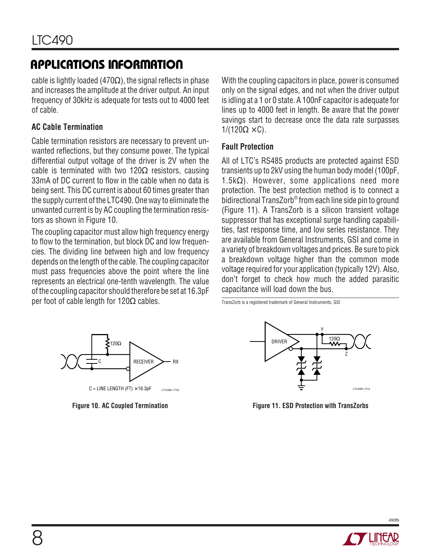# **APPLICATIONS INFORMATION**

cable is lightly loaded (470 $\Omega$ ), the signal reflects in phase and increases the amplitude at the driver output. An input frequency of 30kHz is adequate for tests out to 4000 feet of cable.

## **AC Cable Termination**

Cable termination resistors are necessary to prevent unwanted reflections, but they consume power. The typical differential output voltage of the driver is 2V when the cable is terminated with two 120 $\Omega$  resistors, causing 33mA of DC current to flow in the cable when no data is being sent. This DC current is about 60 times greater than the supply current of the LTC490. One way to eliminate the unwanted current is by AC coupling the termination resistors as shown in Figure 10.

The coupling capacitor must allow high frequency energy to flow to the termination, but block DC and low frequencies. The dividing line between high and low frequency depends on the length of the cable. The coupling capacitor must pass frequencies above the point where the line represents an electrical one-tenth wavelength. The value of the coupling capacitor should therefore be set at 16.3pF per foot of cable length for  $120Ω$  cables.

With the coupling capacitors in place, power is consumed only on the signal edges, and not when the driver output is idling at a 1 or 0 state. A 100nF capacitor is adequate for lines up to 4000 feet in length. Be aware that the power savings start to decrease once the data rate surpasses  $1/(120\Omega \times C)$ .

#### **Fault Protection**

All of LTC's RS485 products are protected against ESD transients up to 2kV using the human body model (100pF, 1.5k $\Omega$ ). However, some applications need more protection. The best protection method is to connect a bidirectional TransZorb® from each line side pin to ground (Figure 11). A TransZorb is a silicon transient voltage suppressor that has exceptional surge handling capabilities, fast response time, and low series resistance. They are available from General Instruments, GSI and come in a variety of breakdown voltages and prices. Be sure to pick a breakdown voltage higher than the common mode voltage required for your application (typically 12V). Also, don't forget to check how much the added parasitic capacitance will load down the bus.

TransZorb is a registered trademark of General Instruments, GSI





**Figure 10. AC Coupled Termination Figure 11. ESD Protection with TransZorbs** 



490fb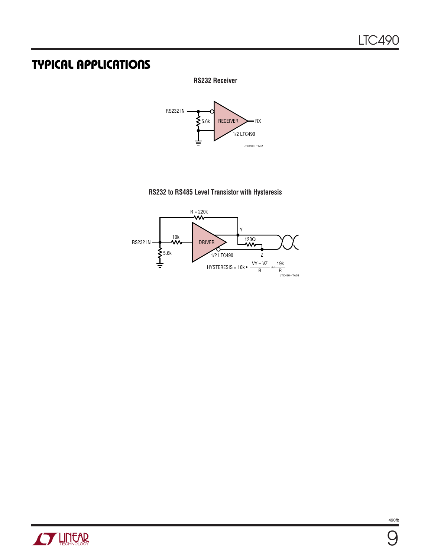# **TYPICAL APPLICATIONS**

#### **RS232 Receiver**



#### **RS232 to RS485 Level Transistor with Hysteresis**



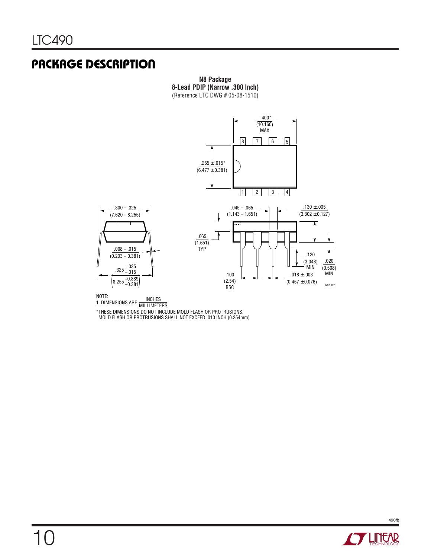# **PACKAGE DESCRIPTION**

**N8 Package 8-Lead PDIP (Narrow .300 Inch)** (Reference LTC DWG # 05-08-1510)



NOTE:<br>1. DIMENSIONS ARE MILLIMETERS

\*THESE DIMENSIONS DO NOT INCLUDE MOLD FLASH OR PROTRUSIONS. MOLD FLASH OR PROTRUSIONS SHALL NOT EXCEED .010 INCH (0.254mm)

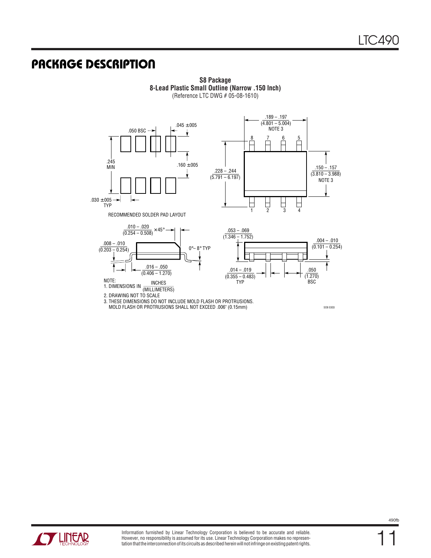SO8 0303

# **U PACKAGE DESCRIPTIO**



**S8 Package 8-Lead Plastic Small Outline (Narrow .150 Inch)** (Reference LTC DWG # 05-08-1610)

2. DRAWING NOT TO SCALE

3. THESE DIMENSIONS DO NOT INCLUDE MOLD FLASH OR PROTRUSIONS.

MOLD FLASH OR PROTRUSIONS SHALL NOT EXCEED .006" (0.15mm)